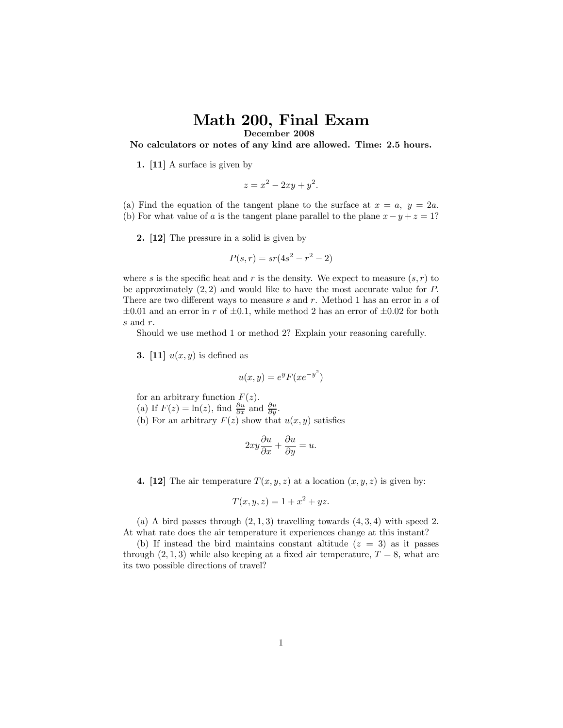## Math 200, Final Exam December 2008

No calculators or notes of any kind are allowed. Time: 2.5 hours.

1. [11] A surface is given by

$$
z = x^2 - 2xy + y^2.
$$

(a) Find the equation of the tangent plane to the surface at  $x = a, y = 2a$ . (b) For what value of a is the tangent plane parallel to the plane  $x - y + z = 1$ ?

2. [12] The pressure in a solid is given by

$$
P(s,r) = sr(4s^2 - r^2 - 2)
$$

where s is the specific heat and r is the density. We expect to measure  $(s, r)$  to be approximately  $(2, 2)$  and would like to have the most accurate value for  $P$ . There are two different ways to measure s and r. Method 1 has an error in s of  $\pm 0.01$  and an error in r of  $\pm 0.1$ , while method 2 has an error of  $\pm 0.02$  for both s and r.

Should we use method 1 or method 2? Explain your reasoning carefully.

**3.** [11]  $u(x, y)$  is defined as

$$
u(x,y) = e^y F(xe^{-y^2})
$$

for an arbitrary function  $F(z)$ .

(a) If  $F(z) = \ln(z)$ , find  $\frac{\partial u}{\partial x}$  and  $\frac{\partial u}{\partial y}$ .

(b) For an arbitrary  $F(z)$  show that  $u(x, y)$  satisfies

$$
2xy\frac{\partial u}{\partial x} + \frac{\partial u}{\partial y} = u.
$$

4. [12] The air temperature  $T(x, y, z)$  at a location  $(x, y, z)$  is given by:

$$
T(x, y, z) = 1 + x^2 + yz.
$$

(a) A bird passes through  $(2, 1, 3)$  travelling towards  $(4, 3, 4)$  with speed 2. At what rate does the air temperature it experiences change at this instant?

(b) If instead the bird maintains constant altitude  $(z = 3)$  as it passes through  $(2, 1, 3)$  while also keeping at a fixed air temperature,  $T = 8$ , what are its two possible directions of travel?